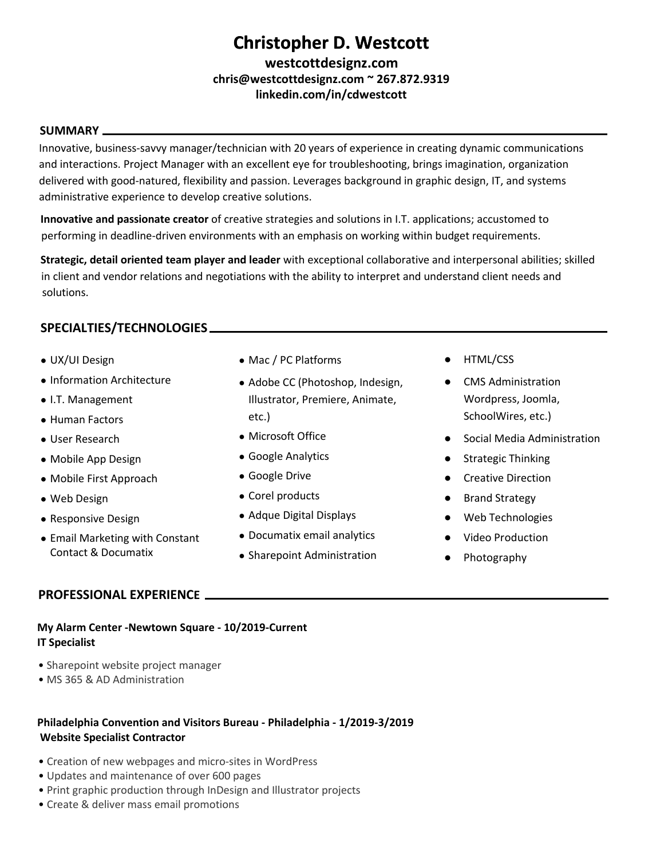# **Christopher D. Westcott Christopher D. Westcott**

**westcottdesignz.com [chris@westcottdesignz.com](mailto:chris@westcottdesignz.com) ~ 267.872.9319 [linkedin.com/in/cdwestcott](http://linkedin.com/in/cdwestcott)**

#### **SUMMARY**

Innovative, business-savvy manager/technician with 20 years of experience in creating dynamic communications and interactions. Project Manager with an excellent eye for troubleshooting, brings imagination, organization delivered with good-natured, flexibility and passion. Leverages background in graphic design, IT, and systems administrative experience to develop creative solutions.

**Innovative and passionate creator** of creative strategies and solutions in I.T. applications; accustomed to performing in deadline-driven environments with an emphasis on working within budget requirements.

**Strategic, detail oriented team player and leader** with exceptional collaborative and interpersonal abilities; skilled in client and vendor relations and negotiations with the ability to interpret and understand client needs and solutions.

# **SPECIALTIES/TECHNOLOGIES**

- UX/UI Design
- Information Architecture
- I.T. Management
- Human Factors
- User Research
- Mobile App Design
- Mobile First Approach
- Web Design
- Responsive Design
- Email Marketing with Constant Contact & Documatix

# **PROFESSIONAL EXPERIENCE**

- Mac / PC Platforms
- Adobe CC (Photoshop, Indesign, Illustrator, Premiere, Animate, etc.)
- Microsoft Office
- Google Analytics
- Google Drive
- Corel products
- Adque Digital Displays
- Documatix email analytics
- Sharepoint Administration
- HTML/CSS
- **CMS Administration** Wordpress, Joomla, SchoolWires, etc.)
- Social Media Administration
- **Strategic Thinking**
- **Creative Direction**
- Brand Strategy
- Web Technologies
- **Video Production**
- Photography

# **IT Specialist**

**My Alarm Center -Newtown Square - 10/2019-Current**

- Sharepoint website project manager
- MS 365 & AD Administration

## **Philadelphia Convention and Visitors Bureau - Philadelphia - 1/2019-3/2019 Website Specialist Contractor**

- Creation of new webpages and micro-sites in WordPress
- Updates and maintenance of over 600 pages
- Print graphic production through InDesign and Illustrator projects
- Create & deliver mass email promotions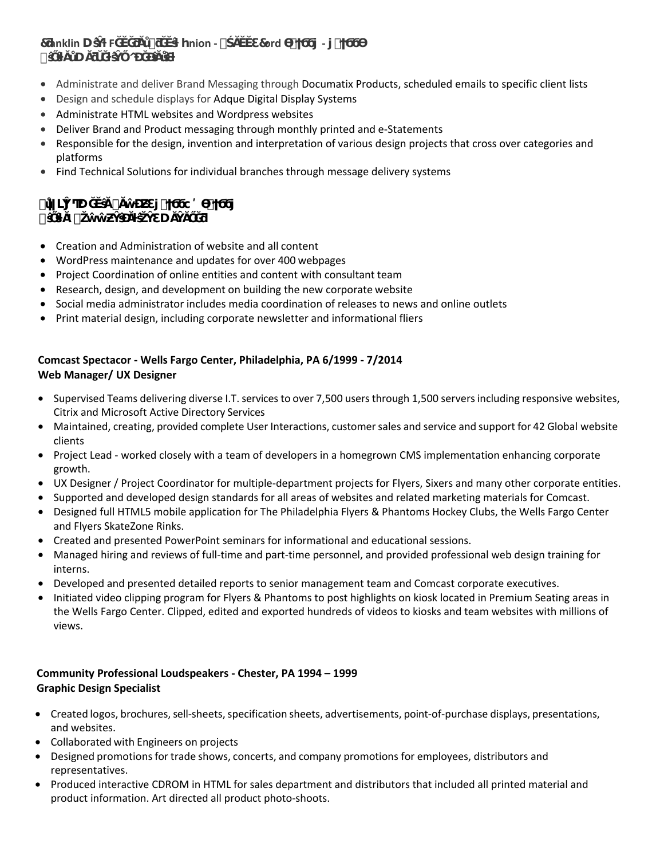| 7 anklin U F | # | ynion - $\#$ | 7ord | $\overline{\phantom{0}}$ |  |
|--------------|---|--------------|------|--------------------------|--|
|              |   |              |      |                          |  |

- Administrate and deliver Brand Messaging through Documatix Products, scheduled emails to specific client lists
- Design and schedule displays for Adque Digital Display Systems
- Administrate HTML websites and Wordpress websites
- Deliver Brand and Product messaging through monthly printed and e-Statements
- Responsible for the design, invention and interpretation of various design projects that cross over categories and platforms
- Find Technical Solutions for individual branches through message delivery systems
- **u #**

**ŝŐŝƚĂl ŽŵŵƵŶŝĐĂƚŝŽŶƐ DĂŶĂŐĞƌ**

- Creation and Administration of website and all content
- WordPress maintenance and updates for over 400 webpages
- Project Coordination of online entities and content with consultant team
- Research, design, and development on building the new corporate website
- Social media administrator includes media coordination of releases to news and online outlets
- Print material design, including corporate newsletter and informational fliers

### **Comcast Spectacor - Wells Fargo Center, Philadelphia, PA 6/1999 - 7/2014 Web Manager/ UX Designer**

- Supervised Teams delivering diverse I.T. services to over 7,500 users through 1,500 servers including responsive websites, Citrix and Microsoft Active Directory Services
- Maintained, creating, provided complete User Interactions, customersales and service and support for 42 Global website clients
- Project Lead worked closely with a team of developers in a homegrown CMS implementation enhancing corporate growth.
- UX Designer / Project Coordinator for multiple-department projects for Flyers, Sixers and many other corporate entities.
- Supported and developed design standards for all areas of websites and related marketing materials for Comcast.
- Designed full HTML5 mobile application for The Philadelphia Flyers & Phantoms Hockey Clubs, the Wells Fargo Center and Flyers SkateZone Rinks.
- Created and presented PowerPoint seminars for informational and educational sessions.
- Managed hiring and reviews of full-time and part-time personnel, and provided professional web design training for interns.
- Developed and presented detailed reports to senior management team and Comcast corporate executives.
- Initiated video clipping program for Flyers & Phantoms to post highlights on kiosk located in Premium Seating areas in the Wells Fargo Center. Clipped, edited and exported hundreds of videos to kiosks and team websites with millions of views.

## **Community Professional Loudspeakers - Chester, PA 1994 – 1999 Graphic Design Specialist**

- Created logos, brochures, sell-sheets, specification sheets, advertisements, point-of-purchase displays, presentations, and websites.
- Collaborated with Engineers on projects
- Designed promotions for trade shows, concerts, and company promotions for employees, distributors and representatives.
- Produced interactive CDROM in HTML for sales department and distributors that included all printed material and product information. Art directed all product photo-shoots.